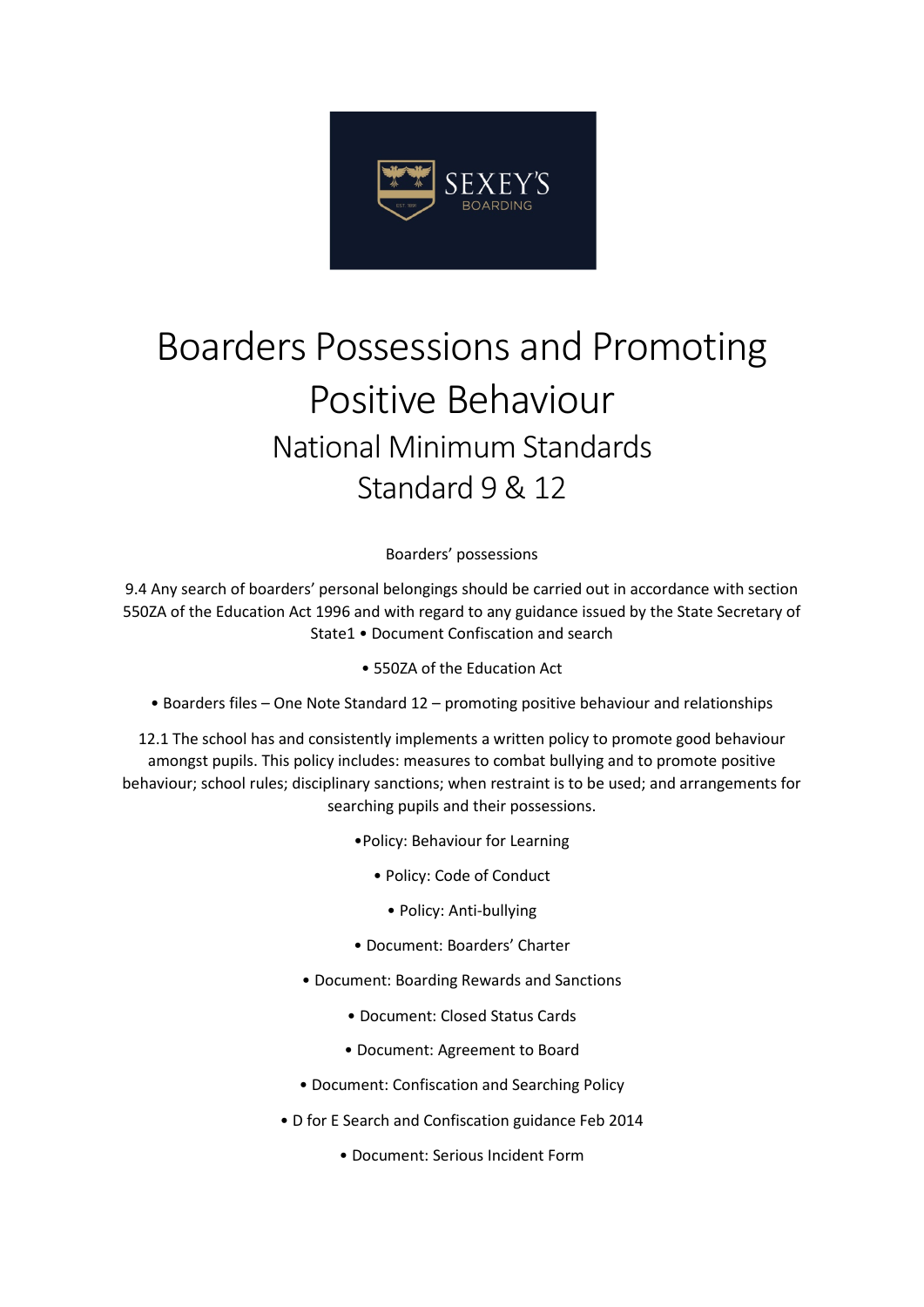

# Boarders Possessions and Promoting Positive Behaviour National Minimum Standards Standard 9 & 12

Boarders' possessions

9.4 Any search of boarders' personal belongings should be carried out in accordance with section 550ZA of the Education Act 1996 and with regard to any guidance issued by the State Secretary of State1 • Document Confiscation and search

• 550ZA of the Education Act

• Boarders files – One Note Standard 12 – promoting positive behaviour and relationships

12.1 The school has and consistently implements a written policy to promote good behaviour amongst pupils. This policy includes: measures to combat bullying and to promote positive behaviour; school rules; disciplinary sanctions; when restraint is to be used; and arrangements for searching pupils and their possessions.

- •Policy: Behaviour for Learning
	- Policy: Code of Conduct
		- Policy: Anti-bullying
- Document: Boarders' Charter
- Document: Boarding Rewards and Sanctions
	- Document: Closed Status Cards
	- Document: Agreement to Board
- Document: Confiscation and Searching Policy
- D for E Search and Confiscation guidance Feb 2014
	- Document: Serious Incident Form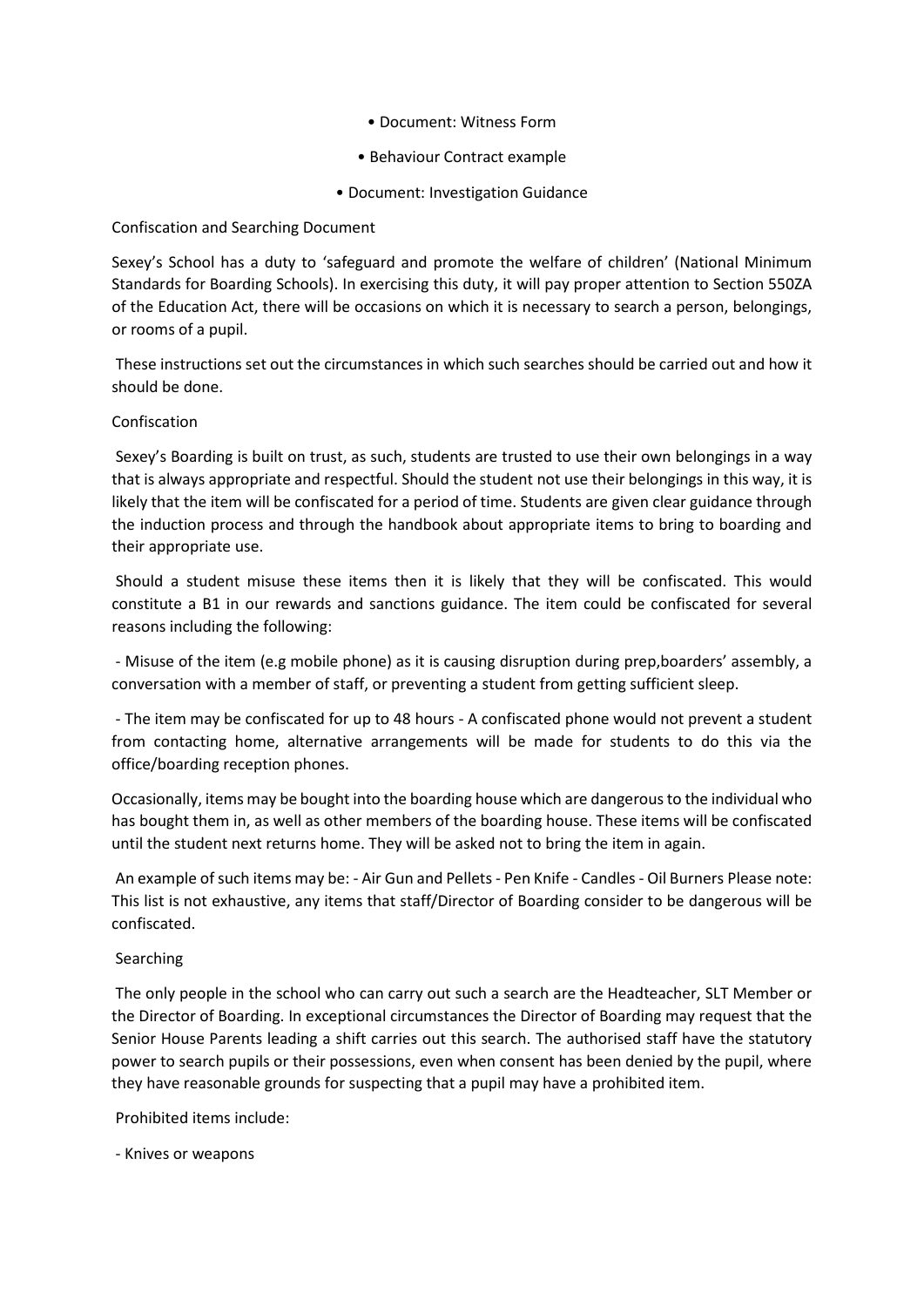- Document: Witness Form
- Behaviour Contract example
- Document: Investigation Guidance

## Confiscation and Searching Document

Sexey's School has a duty to 'safeguard and promote the welfare of children' (National Minimum Standards for Boarding Schools). In exercising this duty, it will pay proper attention to Section 550ZA of the Education Act, there will be occasions on which it is necessary to search a person, belongings, or rooms of a pupil.

These instructions set out the circumstances in which such searches should be carried out and how it should be done.

## Confiscation

Sexey's Boarding is built on trust, as such, students are trusted to use their own belongings in a way that is always appropriate and respectful. Should the student not use their belongings in this way, it is likely that the item will be confiscated for a period of time. Students are given clear guidance through the induction process and through the handbook about appropriate items to bring to boarding and their appropriate use.

Should a student misuse these items then it is likely that they will be confiscated. This would constitute a B1 in our rewards and sanctions guidance. The item could be confiscated for several reasons including the following:

- Misuse of the item (e.g mobile phone) as it is causing disruption during prep,boarders' assembly, a conversation with a member of staff, or preventing a student from getting sufficient sleep.

- The item may be confiscated for up to 48 hours - A confiscated phone would not prevent a student from contacting home, alternative arrangements will be made for students to do this via the office/boarding reception phones.

Occasionally, items may be bought into the boarding house which are dangerous to the individual who has bought them in, as well as other members of the boarding house. These items will be confiscated until the student next returns home. They will be asked not to bring the item in again.

An example of such items may be: - Air Gun and Pellets - Pen Knife - Candles - Oil Burners Please note: This list is not exhaustive, any items that staff/Director of Boarding consider to be dangerous will be confiscated.

### Searching

The only people in the school who can carry out such a search are the Headteacher, SLT Member or the Director of Boarding. In exceptional circumstances the Director of Boarding may request that the Senior House Parents leading a shift carries out this search. The authorised staff have the statutory power to search pupils or their possessions, even when consent has been denied by the pupil, where they have reasonable grounds for suspecting that a pupil may have a prohibited item.

Prohibited items include:

- Knives or weapons